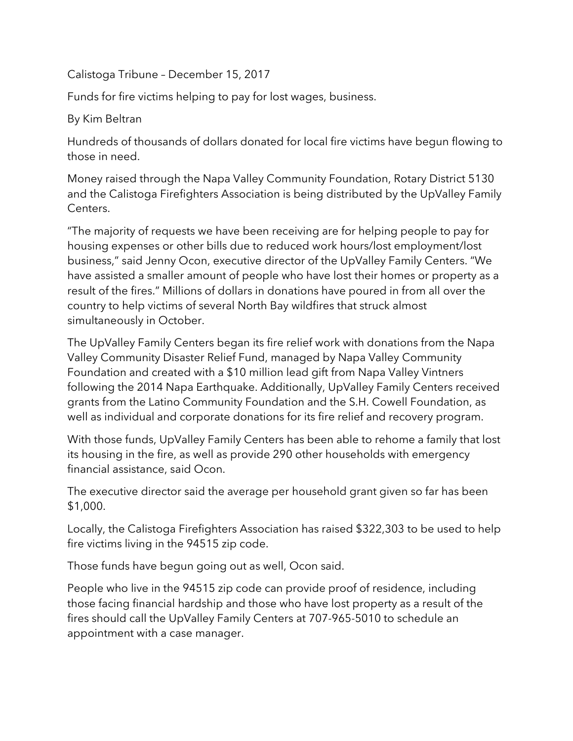Calistoga Tribune – December 15, 2017

Funds for fire victims helping to pay for lost wages, business.

## By Kim Beltran

Hundreds of thousands of dollars donated for local fire victims have begun flowing to those in need.

Money raised through the Napa Valley Community Foundation, Rotary District 5130 and the Calistoga Firefighters Association is being distributed by the UpValley Family Centers.

"The majority of requests we have been receiving are for helping people to pay for housing expenses or other bills due to reduced work hours/lost employment/lost business," said Jenny Ocon, executive director of the UpValley Family Centers. "We have assisted a smaller amount of people who have lost their homes or property as a result of the fires." Millions of dollars in donations have poured in from all over the country to help victims of several North Bay wildfires that struck almost simultaneously in October.

The UpValley Family Centers began its fire relief work with donations from the Napa Valley Community Disaster Relief Fund, managed by Napa Valley Community Foundation and created with a \$10 million lead gift from Napa Valley Vintners following the 2014 Napa Earthquake. Additionally, UpValley Family Centers received grants from the Latino Community Foundation and the S.H. Cowell Foundation, as well as individual and corporate donations for its fire relief and recovery program.

With those funds, UpValley Family Centers has been able to rehome a family that lost its housing in the fire, as well as provide 290 other households with emergency financial assistance, said Ocon.

The executive director said the average per household grant given so far has been \$1,000.

Locally, the Calistoga Firefighters Association has raised \$322,303 to be used to help fire victims living in the 94515 zip code.

Those funds have begun going out as well, Ocon said.

People who live in the 94515 zip code can provide proof of residence, including those facing financial hardship and those who have lost property as a result of the fires should call the UpValley Family Centers at 707-965-5010 to schedule an appointment with a case manager.